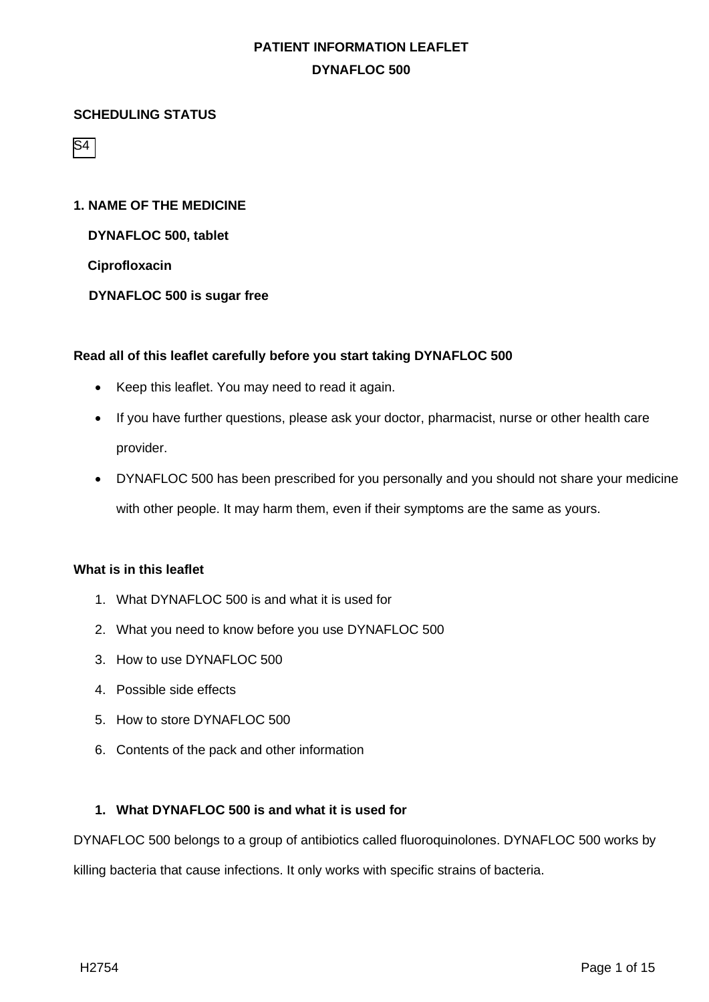### **SCHEDULING STATUS**

S4

## **1. NAME OF THE MEDICINE**

**DYNAFLOC 500, tablet**

**Ciprofloxacin**

**DYNAFLOC 500 is sugar free**

### **Read all of this leaflet carefully before you start taking DYNAFLOC 500**

- Keep this leaflet. You may need to read it again.
- If you have further questions, please ask your doctor, pharmacist, nurse or other health care provider.
- DYNAFLOC 500 has been prescribed for you personally and you should not share your medicine with other people. It may harm them, even if their symptoms are the same as yours.

## **What is in this leaflet**

- 1. What DYNAFLOC 500 is and what it is used for
- 2. What you need to know before you use DYNAFLOC 500
- 3. How to use DYNAFLOC 500
- 4. Possible side effects
- 5. How to store DYNAFLOC 500
- 6. Contents of the pack and other information

## **1. What DYNAFLOC 500 is and what it is used for**

DYNAFLOC 500 belongs to a group of antibiotics called fluoroquinolones. DYNAFLOC 500 works by

killing bacteria that cause infections. It only works with specific strains of bacteria.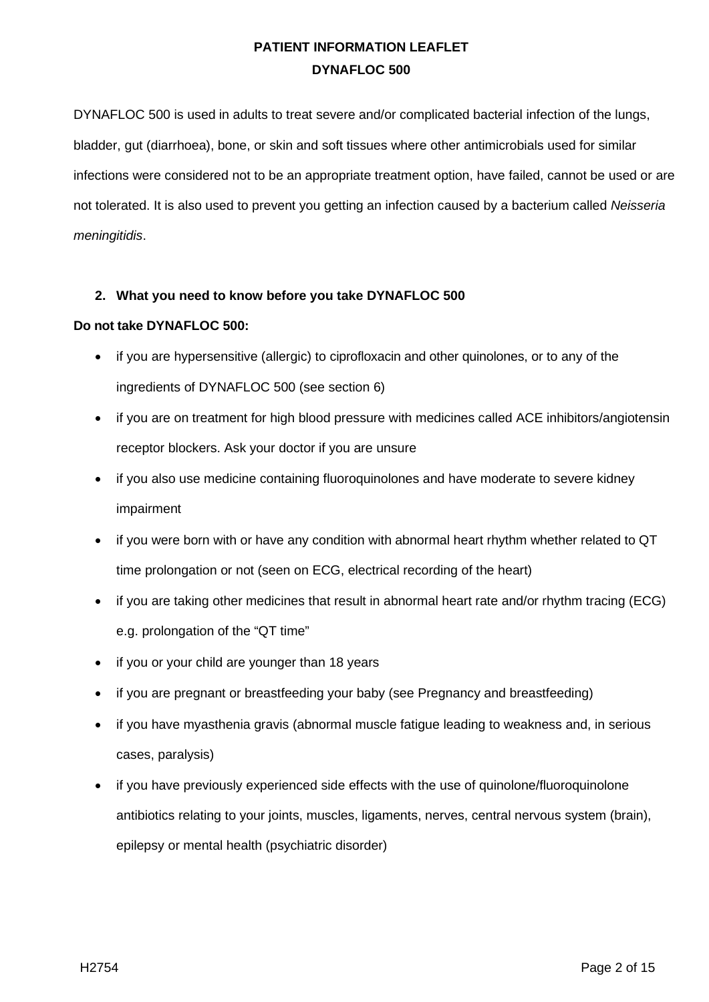DYNAFLOC 500 is used in adults to treat severe and/or complicated bacterial infection of the lungs, bladder, gut (diarrhoea), bone, or skin and soft tissues where other antimicrobials used for similar infections were considered not to be an appropriate treatment option, have failed, cannot be used or are not tolerated. It is also used to prevent you getting an infection caused by a bacterium called *Neisseria meningitidis*.

### **2. What you need to know before you take DYNAFLOC 500**

### **Do not take DYNAFLOC 500:**

- if you are hypersensitive (allergic) to ciprofloxacin and other quinolones, or to any of the ingredients of DYNAFLOC 500 (see section 6)
- if you are on treatment for high blood pressure with medicines called ACE inhibitors/angiotensin receptor blockers. Ask your doctor if you are unsure
- if you also use medicine containing fluoroquinolones and have moderate to severe kidney impairment
- if you were born with or have any condition with abnormal heart rhythm whether related to QT time prolongation or not (seen on ECG, electrical recording of the heart)
- if you are taking other medicines that result in abnormal heart rate and/or rhythm tracing (ECG) e.g. prolongation of the "QT time"
- if you or your child are younger than 18 years
- if you are pregnant or breastfeeding your baby (see Pregnancy and breastfeeding)
- if you have myasthenia gravis (abnormal muscle fatigue leading to weakness and, in serious cases, paralysis)
- if you have previously experienced side effects with the use of quinolone/fluoroquinolone antibiotics relating to your joints, muscles, ligaments, nerves, central nervous system (brain), epilepsy or mental health (psychiatric disorder)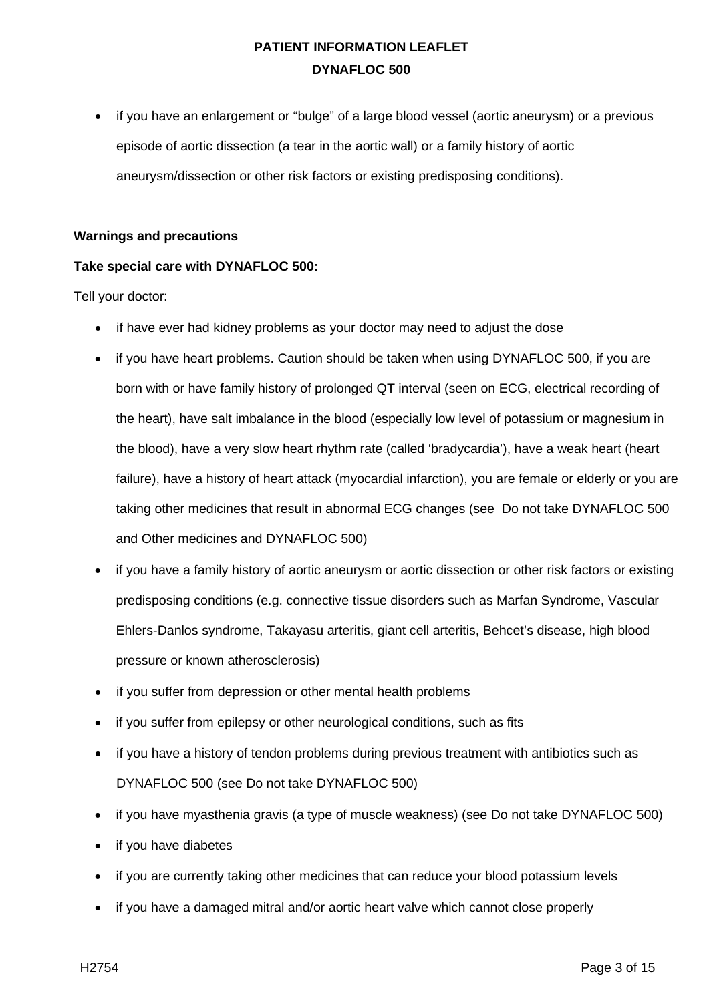• if you have an enlargement or "bulge" of a large blood vessel (aortic aneurysm) or a previous episode of aortic dissection (a tear in the aortic wall) or a family history of aortic aneurysm/dissection or other risk factors or existing predisposing conditions).

### **Warnings and precautions**

## **Take special care with DYNAFLOC 500:**

Tell your doctor:

- if have ever had kidney problems as your doctor may need to adjust the dose
- if you have heart problems. Caution should be taken when using DYNAFLOC 500, if you are born with or have family history of prolonged QT interval (seen on ECG, electrical recording of the heart), have salt imbalance in the blood (especially low level of potassium or magnesium in the blood), have a very slow heart rhythm rate (called 'bradycardia'), have a weak heart (heart failure), have a history of heart attack (myocardial infarction), you are female or elderly or you are taking other medicines that result in abnormal ECG changes (see Do not take DYNAFLOC 500 and Other medicines and DYNAFLOC 500)
- if you have a family history of aortic aneurysm or aortic dissection or other risk factors or existing predisposing conditions (e.g. connective tissue disorders such as Marfan Syndrome, Vascular Ehlers-Danlos syndrome, Takayasu arteritis, giant cell arteritis, Behcet's disease, high blood pressure or known atherosclerosis)
- if you suffer from depression or other mental health problems
- if you suffer from epilepsy or other neurological conditions, such as fits
- if you have a history of tendon problems during previous treatment with antibiotics such as DYNAFLOC 500 (see Do not take DYNAFLOC 500)
- if you have myasthenia gravis (a type of muscle weakness) (see Do not take DYNAFLOC 500)
- if you have diabetes
- if you are currently taking other medicines that can reduce your blood potassium levels
- if you have a damaged mitral and/or aortic heart valve which cannot close properly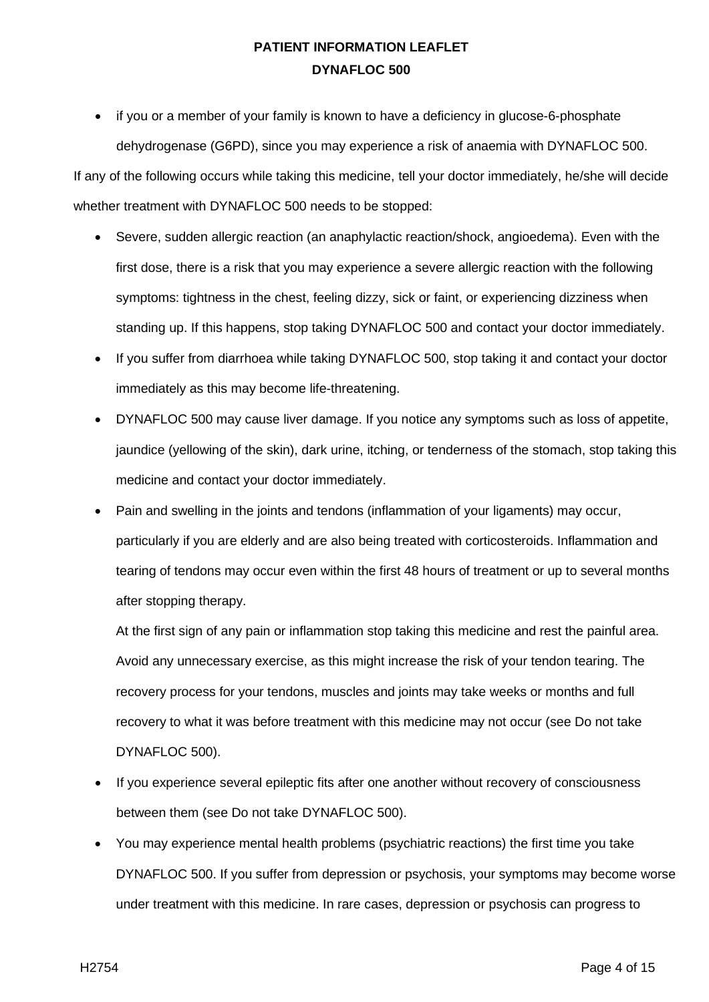if you or a member of your family is known to have a deficiency in glucose-6-phosphate dehydrogenase (G6PD), since you may experience a risk of anaemia with DYNAFLOC 500.

If any of the following occurs while taking this medicine, tell your doctor immediately, he/she will decide whether treatment with DYNAFLOC 500 needs to be stopped:

- Severe, sudden allergic reaction (an anaphylactic reaction/shock, angioedema). Even with the first dose, there is a risk that you may experience a severe allergic reaction with the following symptoms: tightness in the chest, feeling dizzy, sick or faint, or experiencing dizziness when standing up. If this happens, stop taking DYNAFLOC 500 and contact your doctor immediately.
- If you suffer from diarrhoea while taking DYNAFLOC 500, stop taking it and contact your doctor immediately as this may become life-threatening.
- DYNAFLOC 500 may cause liver damage. If you notice any symptoms such as loss of appetite, jaundice (yellowing of the skin), dark urine, itching, or tenderness of the stomach, stop taking this medicine and contact your doctor immediately.
- Pain and swelling in the joints and tendons (inflammation of your ligaments) may occur, particularly if you are elderly and are also being treated with corticosteroids. Inflammation and tearing of tendons may occur even within the first 48 hours of treatment or up to several months after stopping therapy.

At the first sign of any pain or inflammation stop taking this medicine and rest the painful area. Avoid any unnecessary exercise, as this might increase the risk of your tendon tearing. The recovery process for your tendons, muscles and joints may take weeks or months and full recovery to what it was before treatment with this medicine may not occur (see Do not take DYNAFLOC 500).

- If you experience several epileptic fits after one another without recovery of consciousness between them (see Do not take DYNAFLOC 500).
- You may experience mental health problems (psychiatric reactions) the first time you take DYNAFLOC 500. If you suffer from depression or psychosis, your symptoms may become worse under treatment with this medicine. In rare cases, depression or psychosis can progress to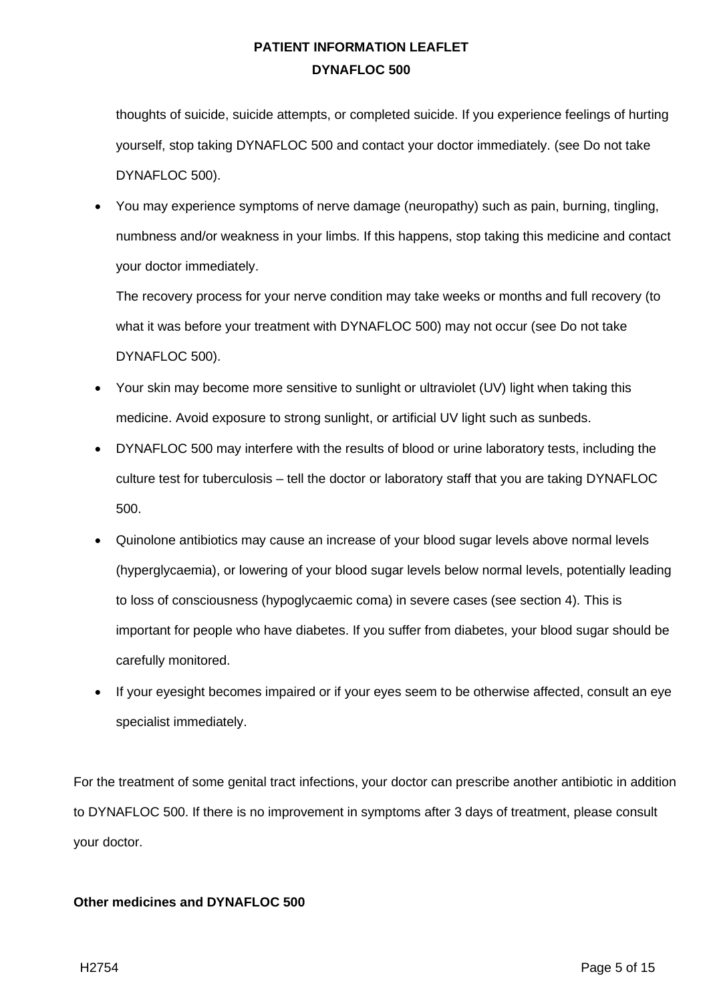thoughts of suicide, suicide attempts, or completed suicide. If you experience feelings of hurting yourself, stop taking DYNAFLOC 500 and contact your doctor immediately. (see Do not take DYNAFLOC 500).

• You may experience symptoms of nerve damage (neuropathy) such as pain, burning, tingling, numbness and/or weakness in your limbs. If this happens, stop taking this medicine and contact your doctor immediately.

The recovery process for your nerve condition may take weeks or months and full recovery (to what it was before your treatment with DYNAFLOC 500) may not occur (see Do not take DYNAFLOC 500).

- Your skin may become more sensitive to sunlight or ultraviolet (UV) light when taking this medicine. Avoid exposure to strong sunlight, or artificial UV light such as sunbeds.
- DYNAFLOC 500 may interfere with the results of blood or urine laboratory tests, including the culture test for tuberculosis – tell the doctor or laboratory staff that you are taking DYNAFLOC 500.
- Quinolone antibiotics may cause an increase of your blood sugar levels above normal levels (hyperglycaemia), or lowering of your blood sugar levels below normal levels, potentially leading to loss of consciousness (hypoglycaemic coma) in severe cases (see section 4). This is important for people who have diabetes. If you suffer from diabetes, your blood sugar should be carefully monitored.
- If your eyesight becomes impaired or if your eyes seem to be otherwise affected, consult an eye specialist immediately.

For the treatment of some genital tract infections, your doctor can prescribe another antibiotic in addition to DYNAFLOC 500. If there is no improvement in symptoms after 3 days of treatment, please consult your doctor.

## **Other medicines and DYNAFLOC 500**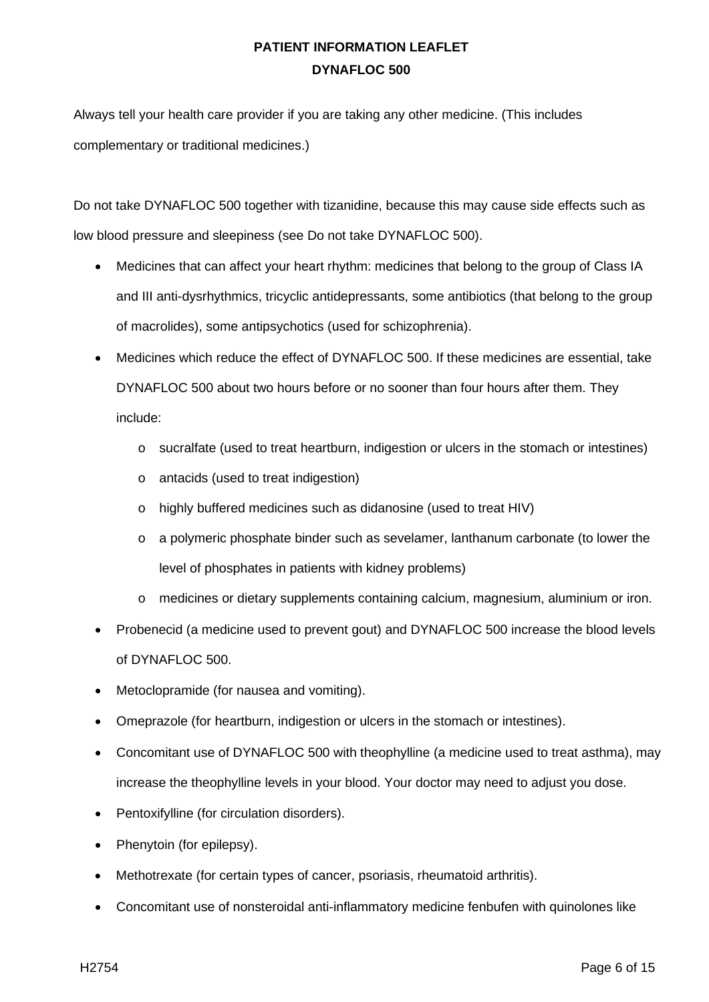Always tell your health care provider if you are taking any other medicine. (This includes complementary or traditional medicines.)

Do not take DYNAFLOC 500 together with tizanidine, because this may cause side effects such as low blood pressure and sleepiness (see Do not take DYNAFLOC 500).

- Medicines that can affect your heart rhythm: medicines that belong to the group of Class IA and III anti-dysrhythmics, tricyclic antidepressants, some antibiotics (that belong to the group of macrolides), some antipsychotics (used for schizophrenia).
- Medicines which reduce the effect of DYNAFLOC 500. If these medicines are essential, take DYNAFLOC 500 about two hours before or no sooner than four hours after them. They include:
	- o sucralfate (used to treat heartburn, indigestion or ulcers in the stomach or intestines)
	- o antacids (used to treat indigestion)
	- o highly buffered medicines such as didanosine (used to treat HIV)
	- o a polymeric phosphate binder such as sevelamer, lanthanum carbonate (to lower the level of phosphates in patients with kidney problems)
	- o medicines or dietary supplements containing calcium, magnesium, aluminium or iron.
- Probenecid (a medicine used to prevent gout) and DYNAFLOC 500 increase the blood levels of DYNAFLOC 500.
- Metoclopramide (for nausea and vomiting).
- Omeprazole (for heartburn, indigestion or ulcers in the stomach or intestines).
- Concomitant use of DYNAFLOC 500 with theophylline (a medicine used to treat asthma), may increase the theophylline levels in your blood. Your doctor may need to adjust you dose.
- Pentoxifylline (for circulation disorders).
- Phenytoin (for epilepsy).
- Methotrexate (for certain types of cancer, psoriasis, rheumatoid arthritis).
- Concomitant use of nonsteroidal anti-inflammatory medicine fenbufen with quinolones like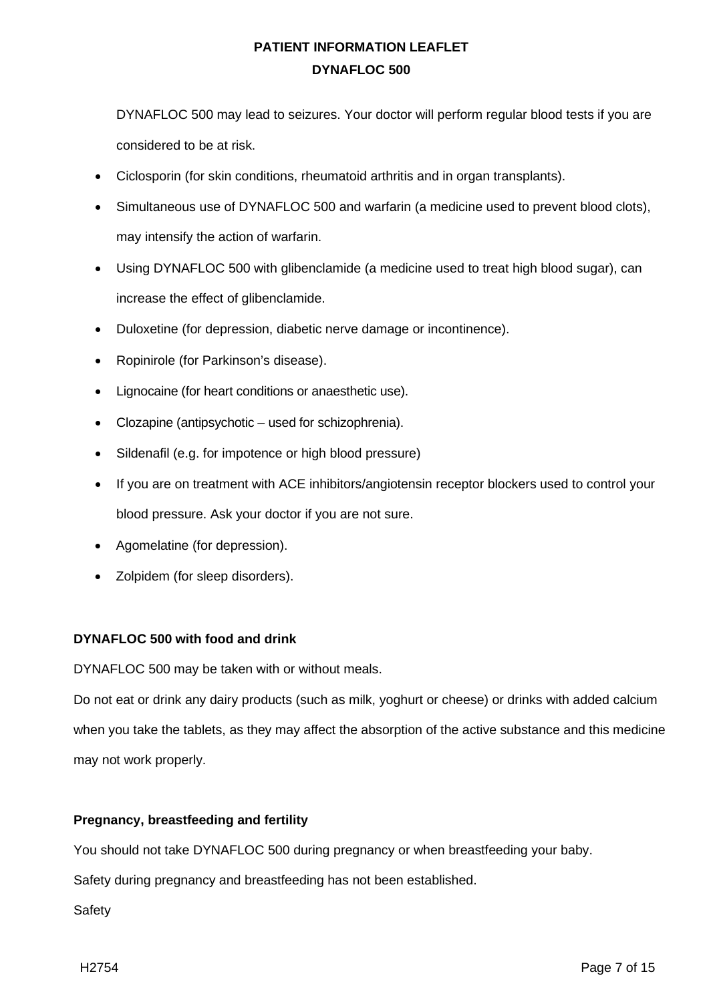DYNAFLOC 500 may lead to seizures. Your doctor will perform regular blood tests if you are considered to be at risk.

- Ciclosporin (for skin conditions, rheumatoid arthritis and in organ transplants).
- Simultaneous use of DYNAFLOC 500 and warfarin (a medicine used to prevent blood clots), may intensify the action of warfarin.
- Using DYNAFLOC 500 with glibenclamide (a medicine used to treat high blood sugar), can increase the effect of glibenclamide.
- Duloxetine (for depression, diabetic nerve damage or incontinence).
- Ropinirole (for Parkinson's disease).
- Lignocaine (for heart conditions or anaesthetic use).
- Clozapine (antipsychotic used for schizophrenia).
- Sildenafil (e.g. for impotence or high blood pressure)
- If you are on treatment with ACE inhibitors/angiotensin receptor blockers used to control your blood pressure. Ask your doctor if you are not sure.
- Agomelatine (for depression).
- Zolpidem (for sleep disorders).

### **DYNAFLOC 500 with food and drink**

DYNAFLOC 500 may be taken with or without meals.

Do not eat or drink any dairy products (such as milk, yoghurt or cheese) or drinks with added calcium when you take the tablets, as they may affect the absorption of the active substance and this medicine may not work properly.

### **Pregnancy, breastfeeding and fertility**

You should not take DYNAFLOC 500 during pregnancy or when breastfeeding your baby.

Safety during pregnancy and breastfeeding has not been established.

Safety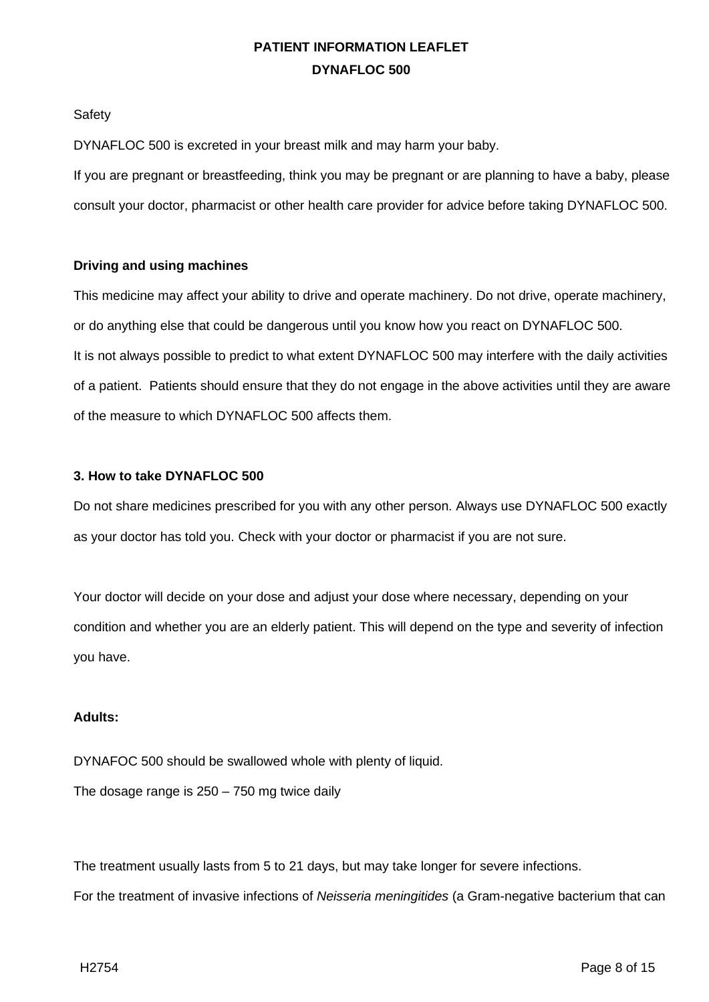**Safety** 

DYNAFLOC 500 is excreted in your breast milk and may harm your baby.

If you are pregnant or breastfeeding, think you may be pregnant or are planning to have a baby, please consult your doctor, pharmacist or other health care provider for advice before taking DYNAFLOC 500.

## **Driving and using machines**

This medicine may affect your ability to drive and operate machinery. Do not drive, operate machinery, or do anything else that could be dangerous until you know how you react on DYNAFLOC 500. It is not always possible to predict to what extent DYNAFLOC 500 may interfere with the daily activities of a patient. Patients should ensure that they do not engage in the above activities until they are aware of the measure to which DYNAFLOC 500 affects them.

## **3. How to take DYNAFLOC 500**

Do not share medicines prescribed for you with any other person. Always use DYNAFLOC 500 exactly as your doctor has told you. Check with your doctor or pharmacist if you are not sure.

Your doctor will decide on your dose and adjust your dose where necessary, depending on your condition and whether you are an elderly patient. This will depend on the type and severity of infection you have.

### **Adults:**

DYNAFOC 500 should be swallowed whole with plenty of liquid. The dosage range is 250 – 750 mg twice daily

The treatment usually lasts from 5 to 21 days, but may take longer for severe infections.

For the treatment of invasive infections of *Neisseria meningitides* (a Gram-negative bacterium that can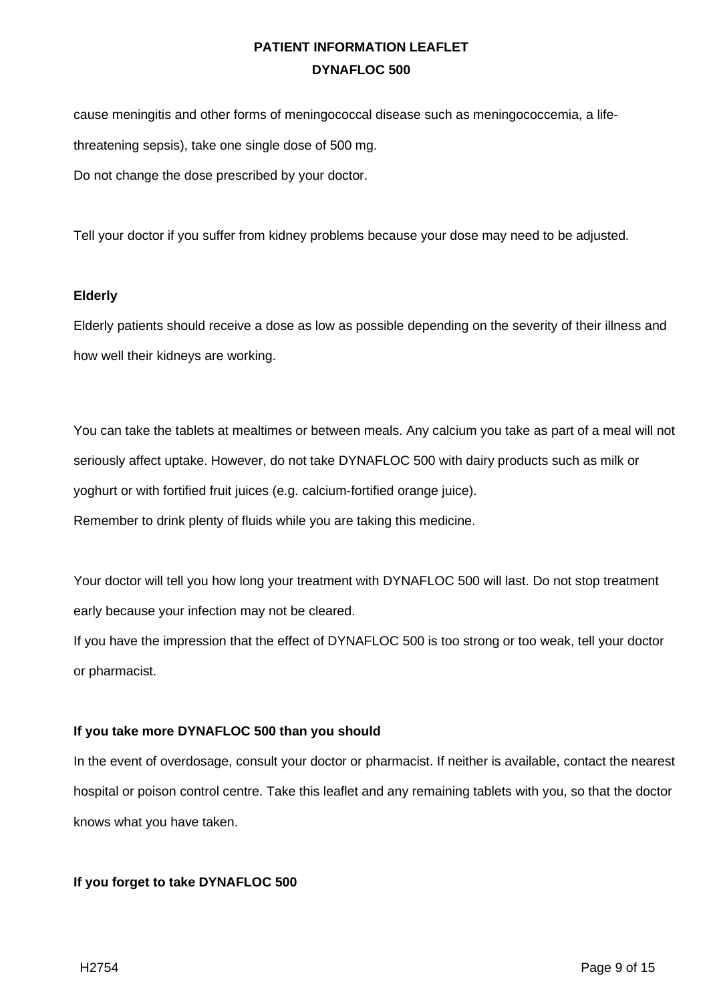cause meningitis and other forms of meningococcal disease such as meningococcemia, a lifethreatening sepsis), take one single dose of 500 mg. Do not change the dose prescribed by your doctor.

Tell your doctor if you suffer from kidney problems because your dose may need to be adjusted.

### **Elderly**

Elderly patients should receive a dose as low as possible depending on the severity of their illness and how well their kidneys are working.

You can take the tablets at mealtimes or between meals. Any calcium you take as part of a meal will not seriously affect uptake. However, do not take DYNAFLOC 500 with dairy products such as milk or yoghurt or with fortified fruit juices (e.g. calcium-fortified orange juice). Remember to drink plenty of fluids while you are taking this medicine.

Your doctor will tell you how long your treatment with DYNAFLOC 500 will last. Do not stop treatment early because your infection may not be cleared.

If you have the impression that the effect of DYNAFLOC 500 is too strong or too weak, tell your doctor or pharmacist.

## **If you take more DYNAFLOC 500 than you should**

In the event of overdosage, consult your doctor or pharmacist. If neither is available, contact the nearest hospital or poison control centre. Take this leaflet and any remaining tablets with you, so that the doctor knows what you have taken.

## **If you forget to take DYNAFLOC 500**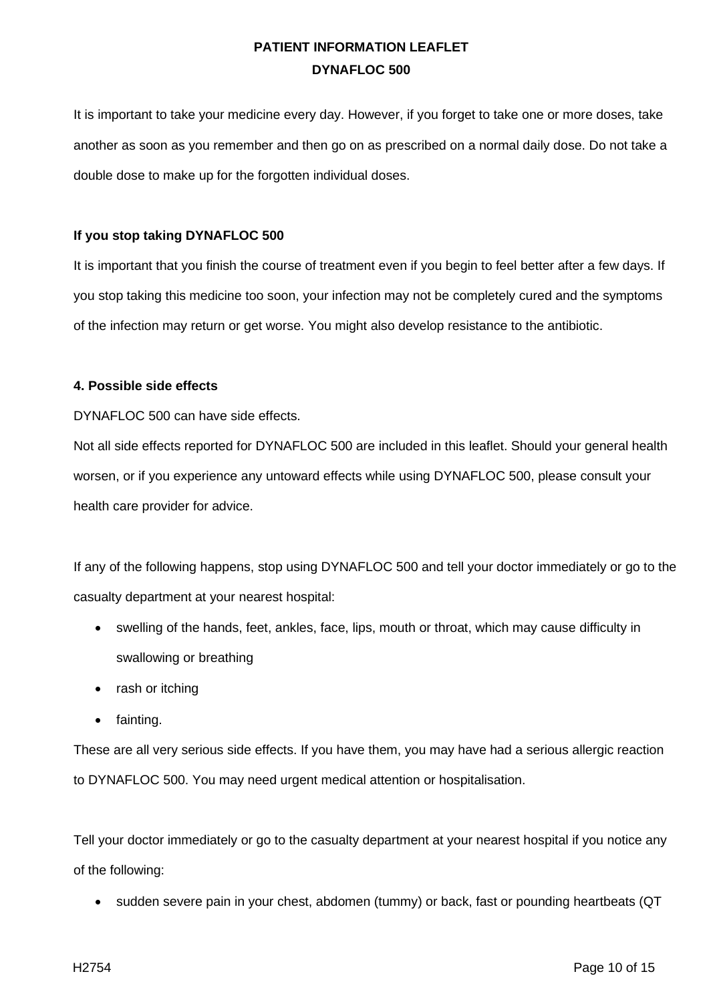It is important to take your medicine every day. However, if you forget to take one or more doses, take another as soon as you remember and then go on as prescribed on a normal daily dose. Do not take a double dose to make up for the forgotten individual doses.

## **If you stop taking DYNAFLOC 500**

It is important that you finish the course of treatment even if you begin to feel better after a few days. If you stop taking this medicine too soon, your infection may not be completely cured and the symptoms of the infection may return or get worse. You might also develop resistance to the antibiotic.

## **4. Possible side effects**

DYNAFLOC 500 can have side effects.

Not all side effects reported for DYNAFLOC 500 are included in this leaflet. Should your general health worsen, or if you experience any untoward effects while using DYNAFLOC 500, please consult your health care provider for advice.

If any of the following happens, stop using DYNAFLOC 500 and tell your doctor immediately or go to the casualty department at your nearest hospital:

- swelling of the hands, feet, ankles, face, lips, mouth or throat, which may cause difficulty in swallowing or breathing
- rash or itching
- fainting.

These are all very serious side effects. If you have them, you may have had a serious allergic reaction to DYNAFLOC 500. You may need urgent medical attention or hospitalisation.

Tell your doctor immediately or go to the casualty department at your nearest hospital if you notice any of the following:

• sudden severe pain in your chest, abdomen (tummy) or back, fast or pounding heartbeats (QT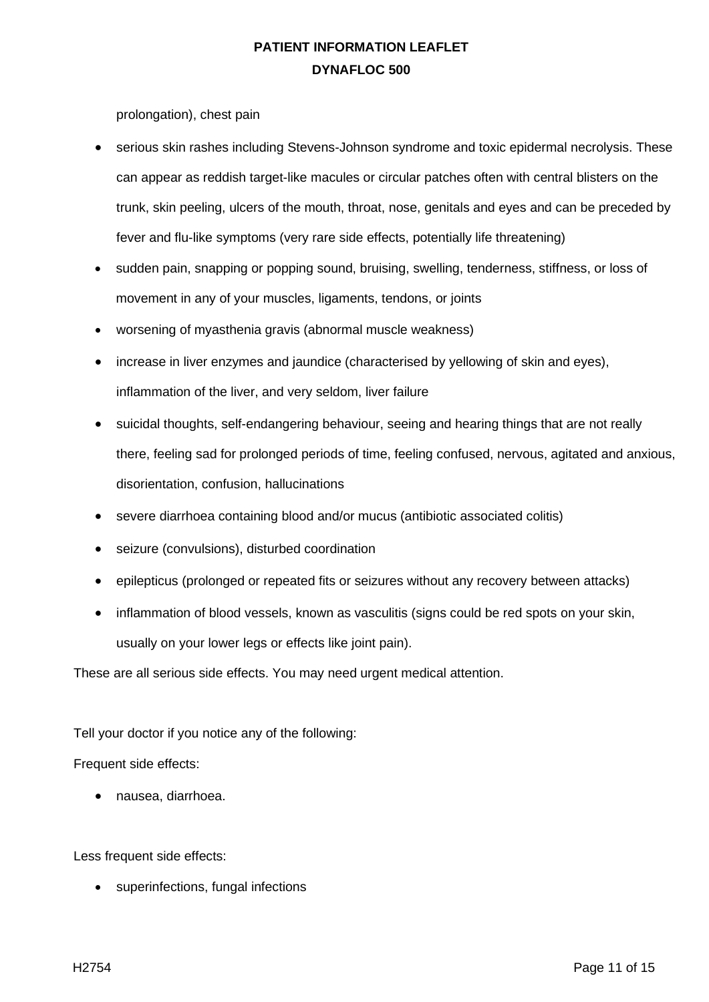prolongation), chest pain

- serious skin rashes including Stevens-Johnson syndrome and toxic epidermal necrolysis. These can appear as reddish target-like macules or circular patches often with central blisters on the trunk, skin peeling, ulcers of the mouth, throat, nose, genitals and eyes and can be preceded by fever and flu-like symptoms (very rare side effects, potentially life threatening)
- sudden pain, snapping or popping sound, bruising, swelling, tenderness, stiffness, or loss of movement in any of your muscles, ligaments, tendons, or joints
- worsening of myasthenia gravis (abnormal muscle weakness)
- increase in liver enzymes and jaundice (characterised by yellowing of skin and eyes), inflammation of the liver, and very seldom, liver failure
- suicidal thoughts, self-endangering behaviour, seeing and hearing things that are not really there, feeling sad for prolonged periods of time, feeling confused, nervous, agitated and anxious, disorientation, confusion, hallucinations
- severe diarrhoea containing blood and/or mucus (antibiotic associated colitis)
- seizure (convulsions), disturbed coordination
- epilepticus (prolonged or repeated fits or seizures without any recovery between attacks)
- inflammation of blood vessels, known as vasculitis (signs could be red spots on your skin, usually on your lower legs or effects like joint pain).

These are all serious side effects. You may need urgent medical attention.

Tell your doctor if you notice any of the following:

Frequent side effects:

• nausea, diarrhoea.

Less frequent side effects:

• superinfections, fungal infections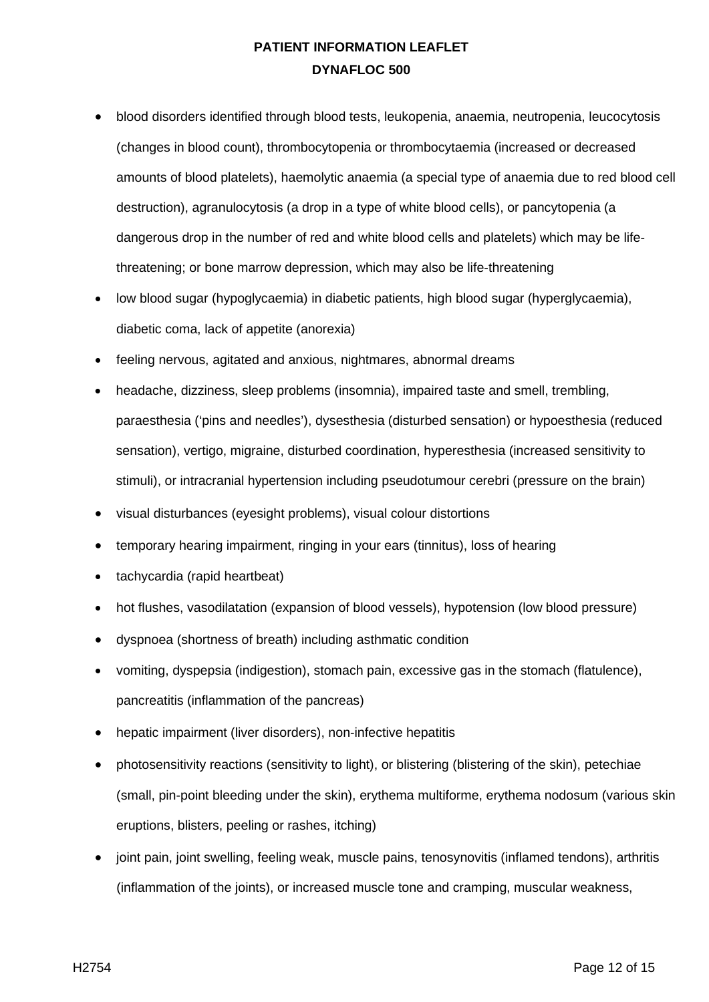- blood disorders identified through blood tests, leukopenia, anaemia, neutropenia, leucocytosis (changes in blood count), thrombocytopenia or thrombocytaemia (increased or decreased amounts of blood platelets), haemolytic anaemia (a special type of anaemia due to red blood cell destruction), agranulocytosis (a drop in a type of white blood cells), or pancytopenia (a dangerous drop in the number of red and white blood cells and platelets) which may be lifethreatening; or bone marrow depression, which may also be life-threatening
- low blood sugar (hypoglycaemia) in diabetic patients, high blood sugar (hyperglycaemia), diabetic coma, lack of appetite (anorexia)
- feeling nervous, agitated and anxious, nightmares, abnormal dreams
- headache, dizziness, sleep problems (insomnia), impaired taste and smell, trembling, paraesthesia ('pins and needles'), dysesthesia (disturbed sensation) or hypoesthesia (reduced sensation), vertigo, migraine, disturbed coordination, hyperesthesia (increased sensitivity to stimuli), or intracranial hypertension including pseudotumour cerebri (pressure on the brain)
- visual disturbances (eyesight problems), visual colour distortions
- temporary hearing impairment, ringing in your ears (tinnitus), loss of hearing
- tachycardia (rapid heartbeat)
- hot flushes, vasodilatation (expansion of blood vessels), hypotension (low blood pressure)
- dyspnoea (shortness of breath) including asthmatic condition
- vomiting, dyspepsia (indigestion), stomach pain, excessive gas in the stomach (flatulence), pancreatitis (inflammation of the pancreas)
- hepatic impairment (liver disorders), non-infective hepatitis
- photosensitivity reactions (sensitivity to light), or blistering (blistering of the skin), petechiae (small, pin-point bleeding under the skin), erythema multiforme, erythema nodosum (various skin eruptions, blisters, peeling or rashes, itching)
- joint pain, joint swelling, feeling weak, muscle pains, tenosynovitis (inflamed tendons), arthritis (inflammation of the joints), or increased muscle tone and cramping, muscular weakness,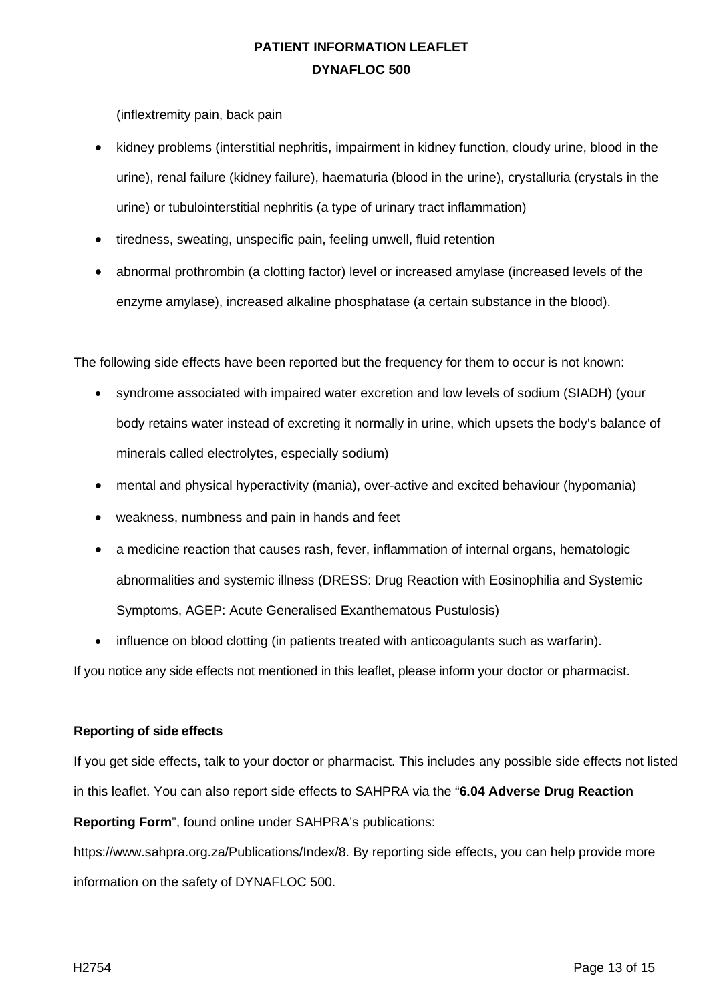(inflextremity pain, back pain

- kidney problems (interstitial nephritis, impairment in kidney function, cloudy urine, blood in the urine), renal failure (kidney failure), haematuria (blood in the urine), crystalluria (crystals in the urine) or tubulointerstitial nephritis (a type of urinary tract inflammation)
- tiredness, sweating, unspecific pain, feeling unwell, fluid retention
- abnormal prothrombin (a clotting factor) level or increased amylase (increased levels of the enzyme amylase), increased alkaline phosphatase (a certain substance in the blood).

The following side effects have been reported but the frequency for them to occur is not known:

- syndrome associated with impaired water excretion and low levels of sodium (SIADH) (your body retains water instead of excreting it normally in urine, which upsets the body's balance of minerals called electrolytes, especially sodium)
- mental and physical hyperactivity (mania), over-active and excited behaviour (hypomania)
- weakness, numbness and pain in hands and feet
- a medicine reaction that causes rash, fever, inflammation of internal organs, hematologic abnormalities and systemic illness (DRESS: Drug Reaction with Eosinophilia and Systemic Symptoms, AGEP: Acute Generalised Exanthematous Pustulosis)
- influence on blood clotting (in patients treated with anticoagulants such as warfarin).

If you notice any side effects not mentioned in this leaflet, please inform your doctor or pharmacist.

### **Reporting of side effects**

If you get side effects, talk to your doctor or pharmacist. This includes any possible side effects not listed in this leaflet. You can also report side effects to SAHPRA via the "**6.04 Adverse Drug Reaction** 

**Reporting Form**", found online under SAHPRA's publications:

https://www.sahpra.org.za/Publications/Index/8. By reporting side effects, you can help provide more information on the safety of DYNAFLOC 500.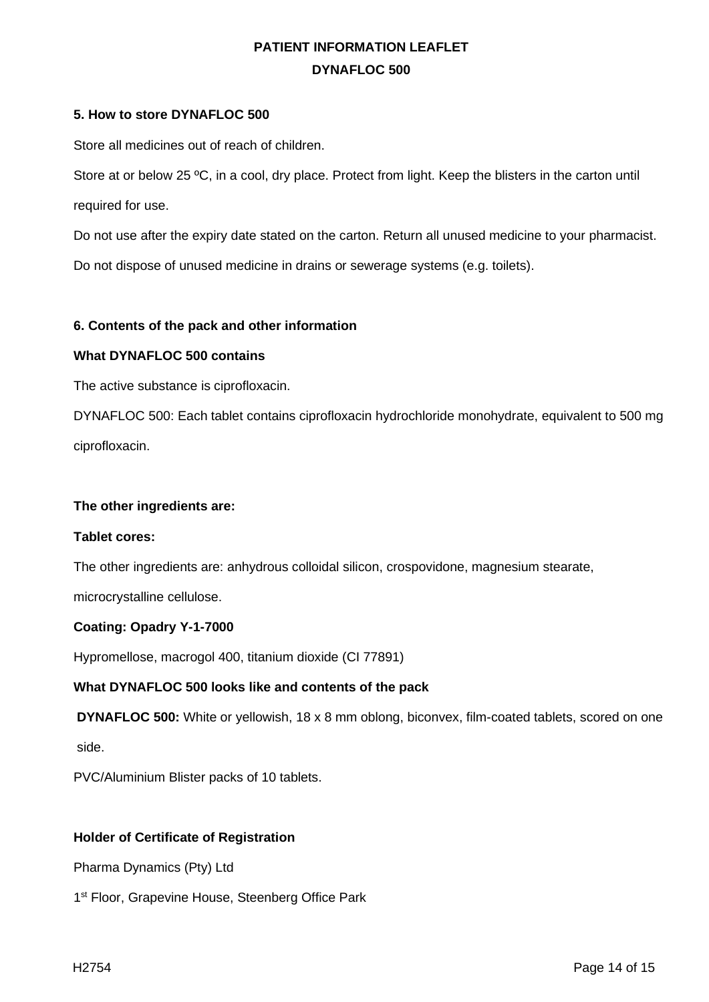### **5. How to store DYNAFLOC 500**

Store all medicines out of reach of children.

Store at or below 25 °C, in a cool, dry place. Protect from light. Keep the blisters in the carton until required for use.

Do not use after the expiry date stated on the carton. Return all unused medicine to your pharmacist. Do not dispose of unused medicine in drains or sewerage systems (e.g. toilets).

## **6. Contents of the pack and other information**

### **What DYNAFLOC 500 contains**

The active substance is ciprofloxacin.

DYNAFLOC 500: Each tablet contains ciprofloxacin hydrochloride monohydrate, equivalent to 500 mg ciprofloxacin.

### **The other ingredients are:**

### **Tablet cores:**

The other ingredients are: anhydrous colloidal silicon, crospovidone, magnesium stearate,

microcrystalline cellulose.

### **Coating: Opadry Y-1-7000**

Hypromellose, macrogol 400, titanium dioxide (CI 77891)

### **What DYNAFLOC 500 looks like and contents of the pack**

**DYNAFLOC 500:** White or yellowish, 18 x 8 mm oblong, biconvex, film-coated tablets, scored on one

side.

PVC/Aluminium Blister packs of 10 tablets.

### **Holder of Certificate of Registration**

Pharma Dynamics (Pty) Ltd

1<sup>st</sup> Floor, Grapevine House, Steenberg Office Park